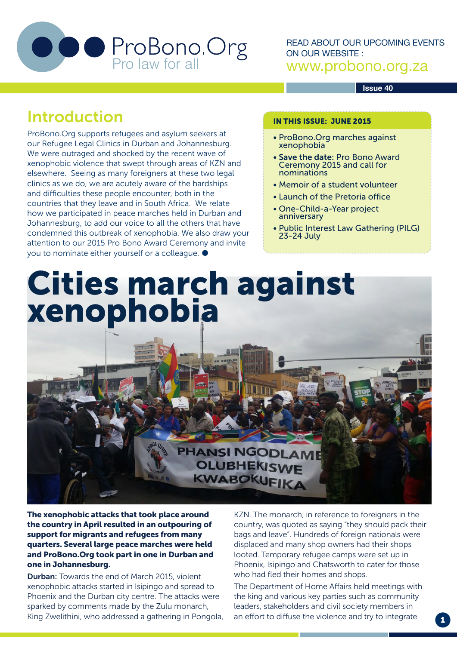

READ ABOUT OUR UPCOMING EVENTS ON OUR WEBSITE : www.probono.org.za

#### **Issue 40**

## Introduction

ProBono.Org supports refugees and asylum seekers at our Refugee Legal Clinics in Durban and Johannesburg. We were outraged and shocked by the recent wave of xenophobic violence that swept through areas of KZN and elsewhere. Seeing as many foreigners at these two legal clinics as we do, we are acutely aware of the hardships and difficulties these people encounter, both in the countries that they leave and in South Africa. We relate how we participated in peace marches held in Durban and Johannesburg, to add our voice to all the others that have condemned this outbreak of xenophobia. We also draw your attention to our 2015 Pro Bono Award Ceremony and invite you to nominate either yourself or a colleague.

#### IN THIS ISSUE: JUNE 2015

- ProBono.Org marches against xenophobia
- Save the date: Pro Bono Award Ceremony 2015 and call for nominations
- Memoir of a student volunteer
- Launch of the Pretoria office
- One-Child-a-Year project anniversary
- Public Interest Law Gathering (PILG) 23-24 July

Cities march against xenophobia

### **PHANSI NGODLAME** OLUBHEKISWE KWABOKUFIKA

The xenophobic attacks that took place around the country in April resulted in an outpouring of support for migrants and refugees from many quarters. Several large peace marches were held and ProBono.Org took part in one in Durban and one in Johannesburg.

Durban: Towards the end of March 2015, violent xenophobic attacks started in Isipingo and spread to Phoenix and the Durban city centre. The attacks were sparked by comments made by the Zulu monarch, King Zwelithini, who addressed a gathering in Pongola, KZN. The monarch, in reference to foreigners in the country, was quoted as saying "they should pack their bags and leave". Hundreds of foreign nationals were displaced and many shop owners had their shops looted. Temporary refugee camps were set up in Phoenix, Isipingo and Chatsworth to cater for those who had fled their homes and shops.

The Department of Home Affairs held meetings with the king and various key parties such as community leaders, stakeholders and civil society members in an effort to diffuse the violence and try to integrate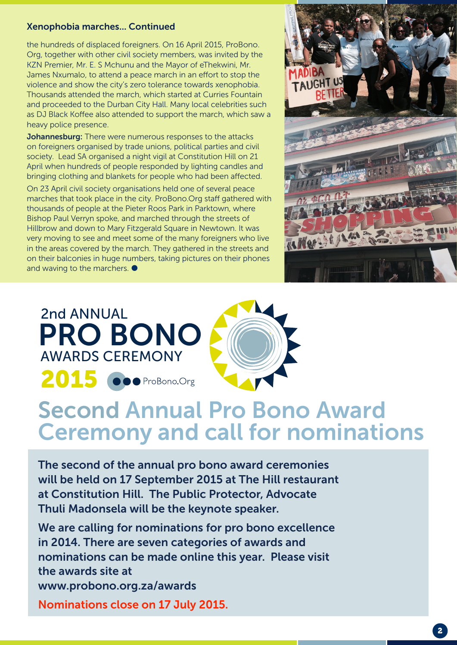#### Xenophobia marches... Continued

the hundreds of displaced foreigners. On 16 April 2015, ProBono. Org, together with other civil society members, was invited by the KZN Premier, Mr. E. S Mchunu and the Mayor of eThekwini, Mr. James Nxumalo, to attend a peace march in an effort to stop the violence and show the city's zero tolerance towards xenophobia. Thousands attended the march, which started at Curries Fountain and proceeded to the Durban City Hall. Many local celebrities such as DJ Black Koffee also attended to support the march, which saw a heavy police presence.

Johannesburg: There were numerous responses to the attacks on foreigners organised by trade unions, political parties and civil society. Lead SA organised a night vigil at Constitution Hill on 21 April when hundreds of people responded by lighting candles and bringing clothing and blankets for people who had been affected.

On 23 April civil society organisations held one of several peace marches that took place in the city. ProBono.Org staff gathered with thousands of people at the Pieter Roos Park in Parktown, where Bishop Paul Verryn spoke, and marched through the streets of Hillbrow and down to Mary Fitzgerald Square in Newtown. It was very moving to see and meet some of the many foreigners who live in the areas covered by the march. They gathered in the streets and on their balconies in huge numbers, taking pictures on their phones and waving to the marchers.  $\bullet$ 





# Second Annual Pro Bono Award Ceremony and call for nominations

The second of the annual pro bono award ceremonies will be held on 17 September 2015 at The Hill restaurant at Constitution Hill. The Public Protector, Advocate Thuli Madonsela will be the keynote speaker.

We are calling for nominations for pro bono excellence in 2014. There are seven categories of awards and nominations can be made online this year. Please visit the awards site at www.probono.org.za/awards Nominations close on 17 July 2015.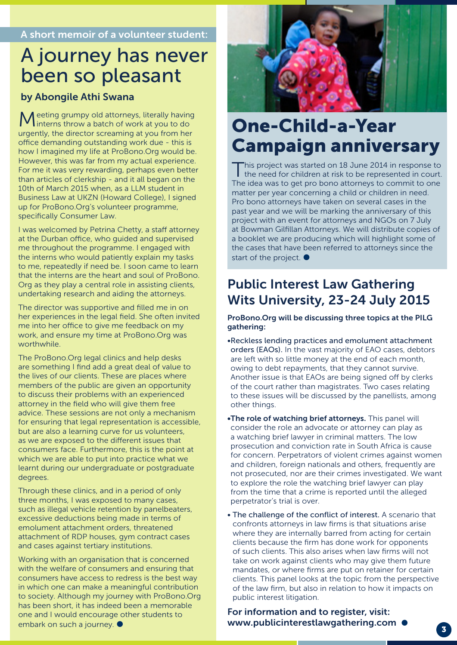## A journey has never been so pleasant

#### by Abongile Athi Swana

eeting grumpy old attorneys, literally having linterns throw a batch of work at you to do urgently, the director screaming at you from her office demanding outstanding work due - this is how I imagined my life at ProBono.Org would be. However, this was far from my actual experience. For me it was very rewarding, perhaps even better than articles of clerkship - and it all began on the 10th of March 2015 when, as a LLM student in Business Law at UKZN (Howard College), I signed up for ProBono.Org's volunteer programme, specifically Consumer Law.

I was welcomed by Petrina Chetty, a staff attorney at the Durban office, who guided and supervised me throughout the programme. I engaged with the interns who would patiently explain my tasks to me, repeatedly if need be. I soon came to learn that the interns are the heart and soul of ProBono. Org as they play a central role in assisting clients, undertaking research and aiding the attorneys.

The director was supportive and filled me in on her experiences in the legal field. She often invited me into her office to give me feedback on my work, and ensure my time at ProBono.Org was worthwhile.

The ProBono.Org legal clinics and help desks are something I find add a great deal of value to the lives of our clients. These are places where members of the public are given an opportunity to discuss their problems with an experienced attorney in the field who will give them free advice. These sessions are not only a mechanism for ensuring that legal representation is accessible, but are also a learning curve for us volunteers, as we are exposed to the different issues that consumers face. Furthermore, this is the point at which we are able to put into practice what we learnt during our undergraduate or postgraduate degrees.

Through these clinics, and in a period of only three months, I was exposed to many cases, such as illegal vehicle retention by panelbeaters, excessive deductions being made in terms of emolument attachment orders, threatened attachment of RDP houses, gym contract cases and cases against tertiary institutions.

Working with an organisation that is concerned with the welfare of consumers and ensuring that consumers have access to redress is the best way in which one can make a meaningful contribution to society. Although my journey with ProBono.Org has been short, it has indeed been a memorable one and I would encourage other students to embark on such a journey.  $\bullet$ 



## One-Child-a-Year Campaign anniversary

This project was started on 18 June 2014 in response to the need for children at risk to be represented in court. The idea was to get pro bono attorneys to commit to one matter per year concerning a child or children in need. Pro bono attorneys have taken on several cases in the past year and we will be marking the anniversary of this project with an event for attorneys and NGOs on 7 July at Bowman Gilfillan Attorneys. We will distribute copies of a booklet we are producing which will highlight some of the cases that have been referred to attorneys since the start of the project.  $\bullet$ 

### Public Interest Law Gathering Wits University, 23-24 July 2015

#### ProBono.Org will be discussing three topics at the PILG gathering:

•Reckless lending practices and emolument attachment orders (EAOs). In the vast majority of EAO cases, debtors are left with so little money at the end of each month, owing to debt repayments, that they cannot survive. Another issue is that EAOs are being signed off by clerks of the court rather than magistrates. Two cases relating to these issues will be discussed by the panellists, among other things.

- •The role of watching brief attorneys. This panel will consider the role an advocate or attorney can play as a watching brief lawyer in criminal matters. The low prosecution and conviction rate in South Africa is cause for concern. Perpetrators of violent crimes against women and children, foreign nationals and others, frequently are not prosecuted, nor are their crimes investigated. We want to explore the role the watching brief lawyer can play from the time that a crime is reported until the alleged perpetrator's trial is over.
- The challenge of the conflict of interest. A scenario that confronts attorneys in law firms is that situations arise where they are internally barred from acting for certain clients because the firm has done work for opponents of such clients. This also arises when law firms will not take on work against clients who may give them future mandates, or where firms are put on retainer for certain clients. This panel looks at the topic from the perspective of the law firm, but also in relation to how it impacts on public interest litigation.

For information and to register, visit: www.publicinterestlawgathering.com